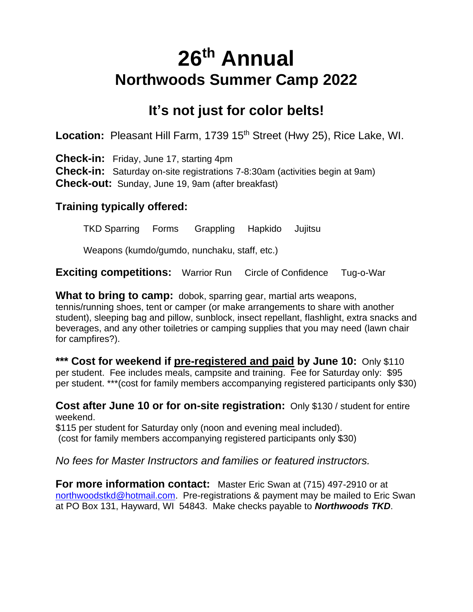# **26 th Annual Northwoods Summer Camp 2022**

## **It's not just for color belts!**

Location: Pleasant Hill Farm, 1739 15<sup>th</sup> Street (Hwy 25), Rice Lake, WI.

**Check-in:** Friday, June 17, starting 4pm

**Check-in:** Saturday on-site registrations 7-8:30am (activities begin at 9am) **Check-out:** Sunday, June 19, 9am (after breakfast)

#### **Training typically offered:**

TKD Sparring Forms Grappling Hapkido Jujitsu

Weapons (kumdo/gumdo, nunchaku, staff, etc.)

**Exciting competitions:** Warrior Run Circle of Confidence Tug-o-War

**What to bring to camp:** dobok, sparring gear, martial arts weapons, tennis/running shoes, tent or camper (or make arrangements to share with another student), sleeping bag and pillow, sunblock, insect repellant, flashlight, extra snacks and beverages, and any other toiletries or camping supplies that you may need (lawn chair for campfires?).

**\*\*\* Cost for weekend if pre-registered and paid by June 10:** Only \$110 per student. Fee includes meals, campsite and training. Fee for Saturday only: \$95 per student. \*\*\*(cost for family members accompanying registered participants only \$30)

**Cost after June 10 or for on-site registration:** Only \$130 / student for entire weekend.

\$115 per student for Saturday only (noon and evening meal included). (cost for family members accompanying registered participants only \$30)

*No fees for Master Instructors and families or featured instructors.*

**For more information contact:** Master Eric Swan at (715) 497-2910 or at [northwoodstkd@hotmail.com.](mailto:northwoodstkd@hotmail.com) Pre-registrations & payment may be mailed to Eric Swan at PO Box 131, Hayward, WI 54843. Make checks payable to *Northwoods TKD*.